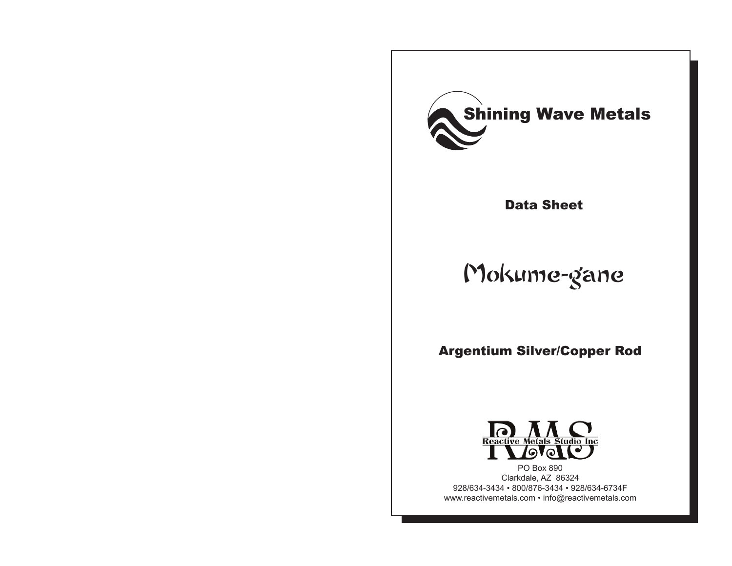

Data Sheet

# Mokume-gane

Argentium Silver/Copper Rod



PO Box 890 Clarkdale, AZ 86324 928/634-3434 • 800/876-3434 • 928/634-6734F www.reactivemetals.com • info@reactivemetals.com